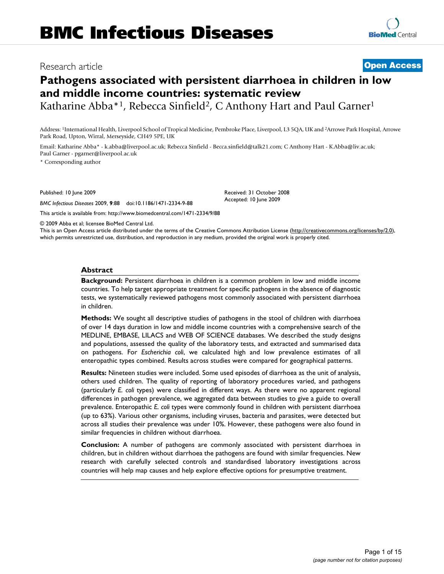## Research article **[Open Access](http://www.biomedcentral.com/info/about/charter/)**

# **Pathogens associated with persistent diarrhoea in children in low and middle income countries: systematic review** Katharine Abba\*<sup>1</sup>, Rebecca Sinfield<sup>2</sup>, C Anthony Hart and Paul Garner<sup>1</sup>

Address: 1International Health, Liverpool School of Tropical Medicine, Pembroke Place, Liverpool, L3 5QA, UK and 2Arrowe Park Hospital, Arrowe Park Road, Upton, Wirral, Merseyside, CH49 5PE, UK

Email: Katharine Abba\* - k.abba@liverpool.ac.uk; Rebecca Sinfield - Becca.sinfield@talk21.com; C Anthony Hart - K.Abba@liv.ac.uk; Paul Garner - pgarner@liverpool.ac.uk

\* Corresponding author

Published: 10 June 2009

*BMC Infectious Diseases* 2009, **9**:88 doi:10.1186/1471-2334-9-88

[This article is available from: http://www.biomedcentral.com/1471-2334/9/88](http://www.biomedcentral.com/1471-2334/9/88)

© 2009 Abba et al; licensee BioMed Central Ltd.

This is an Open Access article distributed under the terms of the Creative Commons Attribution License [\(http://creativecommons.org/licenses/by/2.0\)](http://creativecommons.org/licenses/by/2.0), which permits unrestricted use, distribution, and reproduction in any medium, provided the original work is properly cited.

Received: 31 October 2008 Accepted: 10 June 2009

#### **Abstract**

**Background:** Persistent diarrhoea in children is a common problem in low and middle income countries. To help target appropriate treatment for specific pathogens in the absence of diagnostic tests, we systematically reviewed pathogens most commonly associated with persistent diarrhoea in children.

**Methods:** We sought all descriptive studies of pathogens in the stool of children with diarrhoea of over 14 days duration in low and middle income countries with a comprehensive search of the MEDLINE, EMBASE, LILACS and WEB OF SCIENCE databases. We described the study designs and populations, assessed the quality of the laboratory tests, and extracted and summarised data on pathogens. For *Escherichia coli*, we calculated high and low prevalence estimates of all enteropathic types combined. Results across studies were compared for geographical patterns.

**Results:** Nineteen studies were included. Some used episodes of diarrhoea as the unit of analysis, others used children. The quality of reporting of laboratory procedures varied, and pathogens (particularly *E. coli* types) were classified in different ways. As there were no apparent regional differences in pathogen prevalence, we aggregated data between studies to give a guide to overall prevalence. Enteropathic *E. coli* types were commonly found in children with persistent diarrhoea (up to 63%). Various other organisms, including viruses, bacteria and parasites, were detected but across all studies their prevalence was under 10%. However, these pathogens were also found in similar frequencies in children without diarrhoea.

**Conclusion:** A number of pathogens are commonly associated with persistent diarrhoea in children, but in children without diarrhoea the pathogens are found with similar frequencies. New research with carefully selected controls and standardised laboratory investigations across countries will help map causes and help explore effective options for presumptive treatment.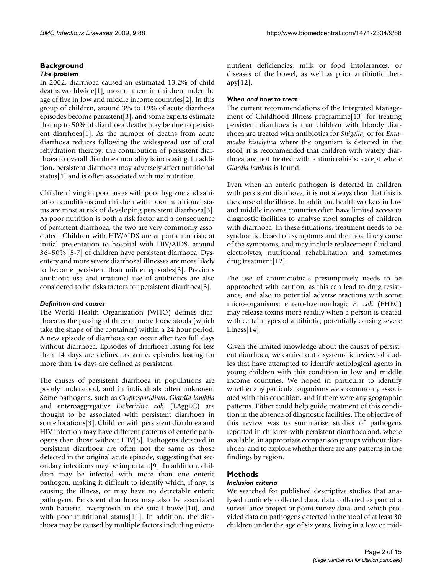#### **Background**

#### *The problem*

In 2002, diarrhoea caused an estimated 13.2% of child deaths worldwide[\[1\]](#page-13-0), most of them in children under the age of five in low and middle income countries[[2](#page-14-0)]. In this group of children, around 3% to 19% of acute diarrhoea episodes become persistent[[3](#page-14-1)], and some experts estimate that up to 50% of diarrhoea deaths may be due to persistent diarrhoea[\[1](#page-13-0)]. As the number of deaths from acute diarrhoea reduces following the widespread use of oral rehydration therapy, the contribution of persistent diarrhoea to overall diarrhoea mortality is increasing. In addition, persistent diarrhoea may adversely affect nutritional status[[4\]](#page-14-2) and is often associated with malnutrition.

Children living in poor areas with poor hygiene and sanitation conditions and children with poor nutritional status are most at risk of developing persistent diarrhoea[[3](#page-14-1)]. As poor nutrition is both a risk factor and a consequence of persistent diarrhoea, the two are very commonly associated. Children with HIV/AIDS are at particular risk; at initial presentation to hospital with HIV/AIDS, around 36–50% [[5](#page-14-3)[-7\]](#page-14-4) of children have persistent diarrhoea. Dysentery and more severe diarrhoeal illnesses are more likely to become persistent than milder episodes[[3\]](#page-14-1). Previous antibiotic use and irrational use of antibiotics are also considered to be risks factors for persistent diarrhoea[[3\]](#page-14-1).

#### *Definition and causes*

The World Health Organization (WHO) defines diarrhoea as the passing of three or more loose stools (which take the shape of the container) within a 24 hour period. A new episode of diarrhoea can occur after two full days without diarrhoea. Episodes of diarrhoea lasting for less than 14 days are defined as acute, episodes lasting for more than 14 days are defined as persistent.

The causes of persistent diarrhoea in populations are poorly understood, and in individuals often unknown. Some pathogens, such as *Cryptosporidium*, *Giardia lamblia* and enteroaggregative *Escherichia coli* (EAggEC) are thought to be associated with persistent diarrhoea in some locations[\[3\]](#page-14-1). Children with persistent diarrhoea and HIV infection may have different patterns of enteric pathogens than those without HIV[[8](#page-14-5)]. Pathogens detected in persistent diarrhoea are often not the same as those detected in the original acute episode, suggesting that secondary infections may be important[[9](#page-14-6)]. In addition, children may be infected with more than one enteric pathogen, making it difficult to identify which, if any, is causing the illness, or may have no detectable enteric pathogens. Persistent diarrhoea may also be associated with bacterial overgrowth in the small bowel[[10\]](#page-14-7), and with poor nutritional status[[11\]](#page-14-8). In addition, the diarrhoea may be caused by multiple factors including micronutrient deficiencies, milk or food intolerances, or diseases of the bowel, as well as prior antibiotic therapy[\[12](#page-14-9)].

#### *When and how to treat*

The current recommendations of the Integrated Management of Childhood Illness programme[[13\]](#page-14-10) for treating persistent diarrhoea is that children with bloody diarrhoea are treated with antibiotics for *Shigella*, or for *Entamoeba histolytica* where the organism is detected in the stool; it is recommended that children with watery diarrhoea are not treated with antimicrobials; except where *Giardia lamblia* is found.

Even when an enteric pathogen is detected in children with persistent diarrhoea, it is not always clear that this is the cause of the illness. In addition, health workers in low and middle income countries often have limited access to diagnostic facilities to analyse stool samples of children with diarrhoea. In these situations, treatment needs to be syndromic, based on symptoms and the most likely cause of the symptoms; and may include replacement fluid and electrolytes, nutritional rehabilitation and sometimes drug treatment[\[12\]](#page-14-9).

The use of antimicrobials presumptively needs to be approached with caution, as this can lead to drug resistance, and also to potential adverse reactions with some micro-organisms: entero-haemorrhagic *E. coli* (EHEC) may release toxins more readily when a person is treated with certain types of antibiotic, potentially causing severe illness[[14\]](#page-14-11).

Given the limited knowledge about the causes of persistent diarrhoea, we carried out a systematic review of studies that have attempted to identify aetiological agents in young children with this condition in low and middle income countries. We hoped in particular to identify whether any particular organisms were commonly associated with this condition, and if there were any geographic patterns. Either could help guide treatment of this condition in the absence of diagnostic facilities. The objective of this review was to summarise studies of pathogens reported in children with persistent diarrhoea and, where available, in appropriate comparison groups without diarrhoea; and to explore whether there are any patterns in the findings by region.

#### **Methods**

#### *Inclusion criteria*

We searched for published descriptive studies that analysed routinely collected data, data collected as part of a surveillance project or point survey data, and which provided data on pathogens detected in the stool of at least 30 children under the age of six years, living in a low or mid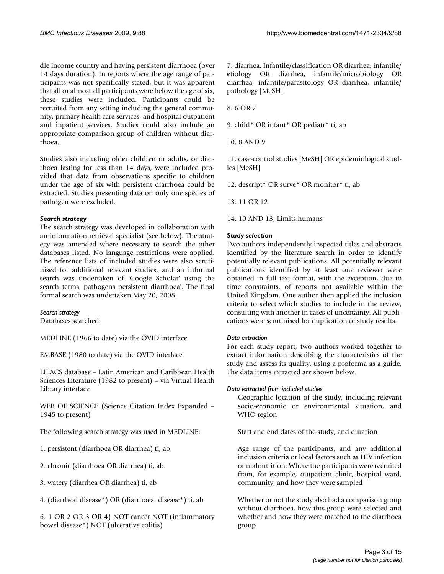dle income country and having persistent diarrhoea (over 14 days duration). In reports where the age range of participants was not specifically stated, but it was apparent that all or almost all participants were below the age of six, these studies were included. Participants could be recruited from any setting including the general community, primary health care services, and hospital outpatient and inpatient services. Studies could also include an appropriate comparison group of children without diarrhoea.

Studies also including older children or adults, or diarrhoea lasting for less than 14 days, were included provided that data from observations specific to children under the age of six with persistent diarrhoea could be extracted. Studies presenting data on only one species of pathogen were excluded.

#### *Search strategy*

The search strategy was developed in collaboration with an information retrieval specialist (see below). The strategy was amended where necessary to search the other databases listed. No language restrictions were applied. The reference lists of included studies were also scrutinised for additional relevant studies, and an informal search was undertaken of 'Google Scholar' using the search terms 'pathogens persistent diarrhoea'. The final formal search was undertaken May 20, 2008.

*Search strategy* Databases searched:

MEDLINE (1966 to date) via the OVID interface

EMBASE (1980 to date) via the OVID interface

LILACS database – Latin American and Caribbean Health Sciences Literature (1982 to present) – via Virtual Health Library interface

WEB OF SCIENCE (Science Citation Index Expanded – 1945 to present)

The following search strategy was used in MEDLINE:

- 1. persistent (diarrhoea OR diarrhea) ti, ab.
- 2. chronic (diarrhoea OR diarrhea) ti, ab.
- 3. watery (diarrhea OR diarrhea) ti, ab

4. (diarrheal disease\*) OR (diarrhoeal disease\*) ti, ab

6. 1 OR 2 OR 3 OR 4) NOT cancer NOT (inflammatory bowel disease\*) NOT (ulcerative colitis)

7. diarrhea, Infantile/classification OR diarrhea, infantile/ etiology OR diarrhea, infantile/microbiology OR diarrhea, infantile/parasitology OR diarrhea, infantile/ pathology [MeSH]

8. 6 OR 7

9. child\* OR infant\* OR pediatr\* ti, ab

10. 8 AND 9

11. case-control studies [MeSH] OR epidemiological studies [MeSH]

12. descript\* OR surve\* OR monitor\* ti, ab

13. 11 OR 12

14. 10 AND 13, Limits:humans

#### *Study selection*

Two authors independently inspected titles and abstracts identified by the literature search in order to identify potentially relevant publications. All potentially relevant publications identified by at least one reviewer were obtained in full text format, with the exception, due to time constraints, of reports not available within the United Kingdom. One author then applied the inclusion criteria to select which studies to include in the review, consulting with another in cases of uncertainty. All publications were scrutinised for duplication of study results.

#### *Data extraction*

For each study report, two authors worked together to extract information describing the characteristics of the study and assess its quality, using a proforma as a guide. The data items extracted are shown below.

#### *Data extracted from included studies*

Geographic location of the study, including relevant socio-economic or environmental situation, and WHO region

Start and end dates of the study, and duration

Age range of the participants, and any additional inclusion criteria or local factors such as HIV infection or malnutrition. Where the participants were recruited from, for example, outpatient clinic, hospital ward, community, and how they were sampled

Whether or not the study also had a comparison group without diarrhoea, how this group were selected and whether and how they were matched to the diarrhoea group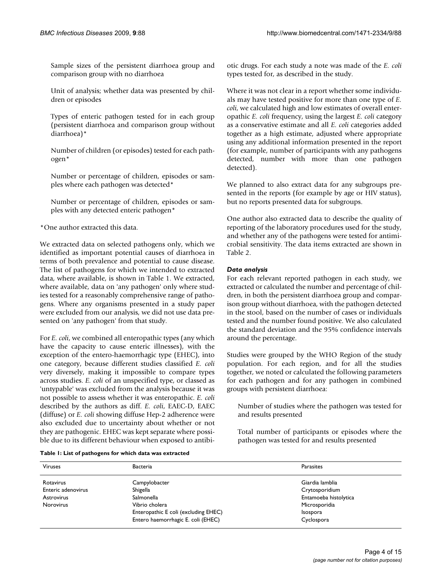Sample sizes of the persistent diarrhoea group and comparison group with no diarrhoea

Unit of analysis; whether data was presented by children or episodes

Types of enteric pathogen tested for in each group (persistent diarrhoea and comparison group without diarrhoea)\*

Number of children (or episodes) tested for each pathogen\*

Number or percentage of children, episodes or samples where each pathogen was detected\*

Number or percentage of children, episodes or samples with any detected enteric pathogen\*

\*One author extracted this data.

We extracted data on selected pathogens only, which we identified as important potential causes of diarrhoea in terms of both prevalence and potential to cause disease. The list of pathogens for which we intended to extracted data, where available, is shown in Table [1](#page-3-0). We extracted, where available, data on 'any pathogen' only where studies tested for a reasonably comprehensive range of pathogens. Where any organisms presented in a study paper were excluded from our analysis, we did not use data presented on 'any pathogen' from that study.

For *E. coli*, we combined all enteropathic types (any which have the capacity to cause enteric illnesses), with the exception of the entero-haemorrhagic type (EHEC), into one category, because different studies classified *E. coli* very diversely, making it impossible to compare types across studies. *E. coli* of an unspecified type, or classed as 'untypable' was excluded from the analysis because it was not possible to assess whether it was enteropathic. *E. coli* described by the authors as diff. *E. coli*, EAEC-D, EAEC (diffuse) or *E. coli* showing diffuse Hep-2 adherence were also excluded due to uncertainty about whether or not they are pathogenic. EHEC was kept separate where possible due to its different behaviour when exposed to antibiotic drugs. For each study a note was made of the *E. coli* types tested for, as described in the study.

Where it was not clear in a report whether some individuals may have tested positive for more than one type of *E. coli*, we calculated high and low estimates of overall enteropathic *E. coli* frequency, using the largest *E. coli* category as a conservative estimate and all *E. coli* categories added together as a high estimate, adjusted where appropriate using any additional information presented in the report (for example, number of participants with any pathogens detected, number with more than one pathogen detected).

We planned to also extract data for any subgroups presented in the reports (for example by age or HIV status), but no reports presented data for subgroups.

One author also extracted data to describe the quality of reporting of the laboratory procedures used for the study, and whether any of the pathogens were tested for antimicrobial sensitivity. The data items extracted are shown in Table [2.](#page-4-0)

#### *Data analysis*

For each relevant reported pathogen in each study, we extracted or calculated the number and percentage of children, in both the persistent diarrhoea group and comparison group without diarrhoea, with the pathogen detected in the stool, based on the number of cases or individuals tested and the number found positive. We also calculated the standard deviation and the 95% confidence intervals around the percentage.

Studies were grouped by the WHO Region of the study population. For each region, and for all the studies together, we noted or calculated the following parameters for each pathogen and for any pathogen in combined groups with persistent diarrhoea:

Number of studies where the pathogen was tested for and results presented

Total number of participants or episodes where the pathogen was tested for and results presented

<span id="page-3-0"></span>

| Table 1: List of pathogens for which data was extracted |  |  |  |  |
|---------------------------------------------------------|--|--|--|--|
|---------------------------------------------------------|--|--|--|--|

| <b>Viruses</b>     | Bacteria                             | Parasites             |
|--------------------|--------------------------------------|-----------------------|
| Rotavirus          | Campylobacter                        | Giardia lamblia       |
| Enteric adenovirus | Shigella                             | Crytosporidium        |
| Astrovirus         | Salmonella                           | Entamoeba histolytica |
| Norovirus          | Vibrio cholera                       | Microsporidia         |
|                    | Enteropathic E coli (excluding EHEC) | Isospora              |
|                    | Entero haemorrhagic E. coli (EHEC)   | Cyclospora            |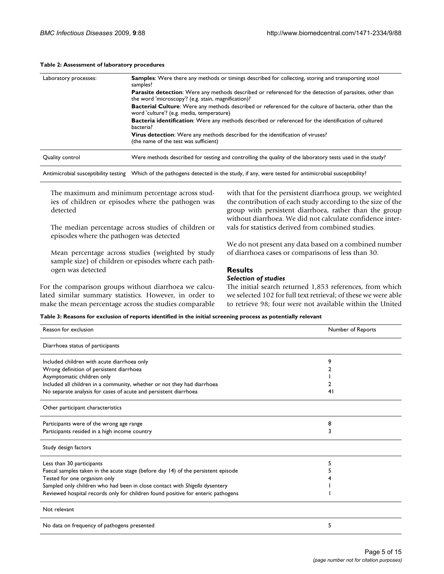#### <span id="page-4-0"></span>**Table 2: Assessment of laboratory procedures**

| Laboratory processes: | <b>Samples:</b> Were there any methods or timings described for collecting, storing and transporting stool<br>samples?                                                |
|-----------------------|-----------------------------------------------------------------------------------------------------------------------------------------------------------------------|
|                       | <b>Parasite detection:</b> Were any methods described or referenced for the detection of parasites, other than<br>the word 'microscopy'? (e.g. stain, magnification)? |
|                       | <b>Bacterial Culture:</b> Were any methods described or referenced for the culture of bacteria, other than the<br>word 'culture'? (e.g. media, temperature)           |
|                       | <b>Bacteria identification:</b> Were any methods described or referenced for the identification of cultured<br>bacteria?                                              |
|                       | Virus detection: Were any methods described for the identification of viruses?<br>(the name of the test was sufficient)                                               |
| Quality control       | Were methods described for testing and controlling the quality of the laboratory tests used in the study?                                                             |
|                       |                                                                                                                                                                       |

Antimicrobial susceptibility testing Which of the pathogens detected in the study, if any, were tested for antimicrobial susceptibility?

The maximum and minimum percentage across studies of children or episodes where the pathogen was detected

The median percentage across studies of children or episodes where the pathogen was detected

Mean percentage across studies (weighted by study sample size) of children or episodes where each pathogen was detected

For the comparison groups without diarrhoea we calculated similar summary statistics. However, in order to make the mean percentage across the studies comparable with that for the persistent diarrhoea group, we weighted the contribution of each study according to the size of the group with persistent diarrhoea, rather than the group without diarrhoea. We did not calculate confidence intervals for statistics derived from combined studies.

We do not present any data based on a combined number of diarrhoea cases or comparisons of less than 30.

#### **Results**

#### *Selection of studies*

The initial search returned 1,853 references, from which we selected 102 for full text retrieval; of these we were able to retrieve 98; four were not available within the United

<span id="page-4-1"></span>**Table 3: Reasons for exclusion of reports identified in the initial screening process as potentially relevant**

| Reason for exclusion                                                              | Number of Reports |
|-----------------------------------------------------------------------------------|-------------------|
| Diarrhoea status of participants                                                  |                   |
| Included children with acute diarrhoea only                                       | 9                 |
| Wrong definition of persistent diarrhoea                                          |                   |
| Asymptomatic children only                                                        |                   |
| Included all children in a community, whether or not they had diarrhoea           |                   |
| No separate analysis for cases of acute and persistent diarrhoea                  | 41                |
| Other participant characteristics                                                 |                   |
| Participants were of the wrong age range                                          | 8                 |
| Participants resided in a high income country                                     |                   |
| Study design factors                                                              |                   |
| Less than 30 participants                                                         |                   |
| Faecal samples taken in the acute stage (before day 14) of the persistent episode |                   |
| Tested for one organism only                                                      |                   |
| Sampled only children who had been in close contact with Shigella dysentery       |                   |
| Reviewed hospital records only for children found positive for enteric pathogens  |                   |
| Not relevant                                                                      |                   |
| No data on frequency of pathogens presented                                       | 5                 |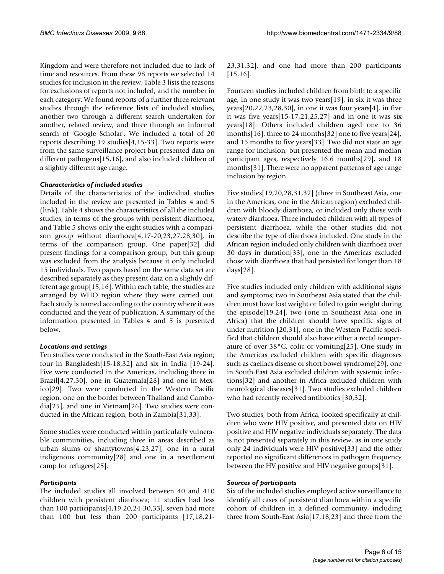Kingdom and were therefore not included due to lack of time and resources. From these 98 reports we selected 14 studies for inclusion in the review. Table [3](#page-4-1) lists the reasons for exclusions of reports not included, and the number in each category. We found reports of a further three relevant studies through the reference lists of included studies, another two through a different search undertaken for another, related review, and three through an informal search of 'Google Scholar'. We included a total of 20 reports describing 19 studies[[4](#page-14-2),[15-](#page-14-12)[33](#page-14-13)]. Two reports were from the same surveillance project but presented data on different pathogens[\[15](#page-14-12),[16](#page-14-14)], and also included children of a slightly different age range.

#### *Characteristics of included studies*

Details of the characteristics of the individual studies included in the review are presented in Tables [4](#page-6-0) and [5](#page-7-0) (link). Table [4](#page-6-0) shows the characteristics of all the included studies, in terms of the groups with persistent diarrhoea, and Table [5](#page-7-0) shows only the eight studies with a comparison group without diarrhoea[[4](#page-14-2),[17](#page-14-15)[-20](#page-14-16),[23,](#page-14-17)[27,](#page-14-18)[28](#page-14-19),[30\]](#page-14-20), in terms of the comparison group. One paper[\[32](#page-14-21)] did present findings for a comparison group, but this group was excluded from the analysis because it only included 15 individuals. Two papers based on the same data set are described separately as they present data on a slightly different age group[\[15](#page-14-12)[,16](#page-14-14)]. Within each table, the studies are arranged by WHO region where they were carried out. Each study is named according to the country where it was conducted and the year of publication. A summary of the information presented in Tables [4](#page-6-0) and [5](#page-7-0) is presented below.

#### *Locations and settings*

Ten studies were conducted in the South-East Asia region; four in Bangladesh[\[15](#page-14-12)[-18](#page-14-22),[32](#page-14-21)] and six in India [\[19](#page-14-23)[-24](#page-14-24)]. Five were conducted in the Americas, including three in Brazil[[4](#page-14-2),[27](#page-14-18),[30\]](#page-14-20), one in Guatemala[[28\]](#page-14-19) and one in Mexico[\[29](#page-14-25)]. Two were conducted in the Western Pacific region, one on the border between Thailand and Cambodia[[25\]](#page-14-26), and one in Vietnam[[26\]](#page-14-27). Two studies were conducted in the African region, both in Zambia[\[31](#page-14-28)[,33](#page-14-13)].

Some studies were conducted within particularly vulnerable communities, including three in areas described as urban slums or shantytowns[[4](#page-14-2),[23,](#page-14-17)[27](#page-14-18)], one in a rural indigenous community[[28\]](#page-14-19) and one in a resettlement camp for refugees[[25\]](#page-14-26).

#### *Participants*

The included studies all involved between 40 and 410 children with persistent diarrhoea; 11 studies had less than 100 participants $[4,19,20,24-30,33]$  $[4,19,20,24-30,33]$  $[4,19,20,24-30,33]$  $[4,19,20,24-30,33]$  $[4,19,20,24-30,33]$  $[4,19,20,24-30,33]$  $[4,19,20,24-30,33]$  $[4,19,20,24-30,33]$  $[4,19,20,24-30,33]$ , seven had more than 100 but less than 200 participants [\[17](#page-14-15),[18,](#page-14-22)[21](#page-14-29)- [23](#page-14-17)[,31](#page-14-28),[32\]](#page-14-21), and one had more than 200 participants [[15](#page-14-12),[16\]](#page-14-14).

Fourteen studies included children from birth to a specific age; in one study it was two years[[19](#page-14-23)], in six it was three years[[20](#page-14-16),[22](#page-14-30)[,23](#page-14-17),[28](#page-14-19),[30\]](#page-14-20), in one it was four years[\[4\]](#page-14-2), in five it was five years[\[15-](#page-14-12)[17](#page-14-15)[,21](#page-14-29),[25](#page-14-26),[27\]](#page-14-18) and in one it was six years[[18](#page-14-22)]. Others included children aged one to 36 months[\[16](#page-14-14)], three to 24 months[[32\]](#page-14-21) one to five years[\[24](#page-14-24)], and 15 months to five years[[33\]](#page-14-13). Two did not state an age range for inclusion, but presented the mean and median participant ages, respectively 16.6 months[\[29\]](#page-14-25), and 18 months[\[31](#page-14-28)]. There were no apparent patterns of age range inclusion by region.

Five studies[[19,](#page-14-23)[20](#page-14-16)[,28](#page-14-19),[31,](#page-14-28)[32](#page-14-21)] (three in Southeast Asia, one in the Americas, one in the African region) excluded children with bloody diarrhoea, or included only those with watery diarrhoea. Three included children with all types of persistent diarrhoea, while the other studies did not describe the type of diarrhoea included. One study in the African region included only children with diarrhoea over 30 days in duration[\[33](#page-14-13)], one in the Americas excluded those with diarrhoea that had persisted for longer than 18 days[\[28](#page-14-19)].

Five studies included only children with additional signs and symptoms; two in Southeast Asia stated that the children must have lost weight or failed to gain weight during the episode[\[19](#page-14-23),[24](#page-14-24)], two (one in Southeast Asia, one in Africa) that the children should have specific signs of under nutrition [[20,](#page-14-16)[31\]](#page-14-28), one in the Western Pacific specified that children should also have either a rectal temperature of over 38°C, colic or vomiting[\[25](#page-14-26)]. One study in the Americas excluded children with specific diagnoses such as caeliacs disease or short bowel syndrome[\[29](#page-14-25)], one in South East Asia excluded children with systemic infections[[32](#page-14-21)] and another in Africa excluded children with neurological diseases[[31\]](#page-14-28). Two studies excluded children who had recently received antibiotics [\[30](#page-14-20),[32](#page-14-21)].

Two studies; both from Africa, looked specifically at children who were HIV positive, and presented data on HIV positive and HIV negative individuals separately. The data is not presented separately in this review, as in one study only 24 individuals were HIV positive[[33](#page-14-13)] and the other reported no significant differences in pathogen frequency between the HV positive and HIV negative groups[[31\]](#page-14-28).

#### *Sources of participants*

Six of the included studies employed active surveillance to identify all cases of persistent diarrhoea within a specific cohort of children in a defined community, including three from South-East Asia[[17,](#page-14-15)[18](#page-14-22),[23](#page-14-17)] and three from the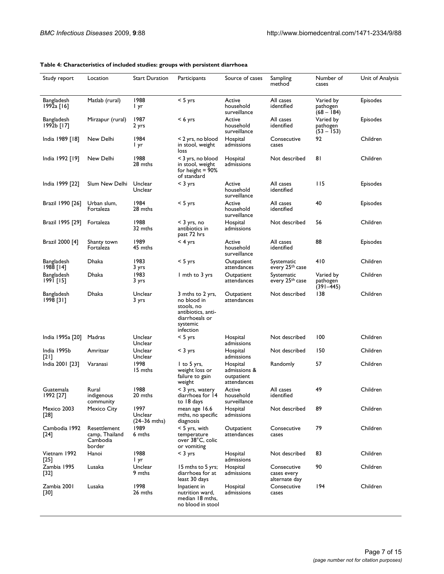| Study report               | Location                                             | <b>Start Duration</b>                     | Participants                                                                                                   | Source of cases                                       | Sampling<br>method                          | Number of<br>cases                    | Unit of Analysis |  |
|----------------------------|------------------------------------------------------|-------------------------------------------|----------------------------------------------------------------------------------------------------------------|-------------------------------------------------------|---------------------------------------------|---------------------------------------|------------------|--|
| Bangladesh<br>1992a [16]   | Matlab (rural)                                       | 1988<br>I yr                              | $< 5$ yrs                                                                                                      | Active<br>household<br>surveillance                   | All cases<br>identified                     | Varied by<br>pathogen<br>$(68 - 184)$ | Episodes         |  |
| Bangladesh<br>$1992b$ [17] | Mirzapur (rural)                                     | 1987<br>2 yrs                             | < 6 yrs                                                                                                        | Active<br>household<br>surveillance                   | All cases<br>identified                     | Varied by<br>pathogen<br>$(53 - 153)$ | <b>Episodes</b>  |  |
| India 1989 [18]            | New Delhi                                            | 1984<br>I yr                              | < 2 yrs, no blood<br>in stool, weight<br>loss                                                                  | Hospital<br>admissions                                | Consecutive<br>cases                        | 92                                    | Children         |  |
| India 1992 [19]            | New Delhi                                            | 1988<br>28 mths                           | < 3 yrs, no blood<br>in stool, weight<br>for height = $90\%$<br>of standard                                    | Hospital<br>admissions                                | Not described                               | 81                                    | Children         |  |
| India 1999 [22]            | Slum New Delhi                                       | Unclear<br>Unclear                        | < 3 yrs                                                                                                        | Active<br>household<br>surveillance                   | All cases<br>identified                     | 115                                   | <b>Episodes</b>  |  |
| Brazil 1990 [26]           | Urban slum,<br>Fortaleza                             | 1984<br>28 mths                           | < 5 yrs                                                                                                        | Active<br>household<br>surveillance                   | All cases<br>identified                     | 40                                    | <b>Episodes</b>  |  |
| Brazil 1995 [29]           | Fortaleza                                            | 1988<br>32 mths                           | < 3 yrs, no<br>antibiotics in<br>past 72 hrs                                                                   | Hospital<br>admissions                                | Not described                               | 56                                    | Children         |  |
| Brazil 2000 [4]            | Shanty town<br>Fortaleza                             | 1989<br>45 mths                           | $< 4$ yrs                                                                                                      | Active<br>household<br>surveillance                   | All cases<br>identified                     | 88                                    | <b>Episodes</b>  |  |
| Bangladesh<br>1988 [14]    | Dhaka                                                | 1983<br>3 yrs                             | $< 5 \text{ yrs}$                                                                                              | Outpatient<br>attendances                             | Systematic<br>every 25th case               | 410                                   | Children         |  |
| Bangladesh<br>$1991$ [15]  | Dhaka                                                | 1983<br>3 yrs                             | I mth to 3 yrs                                                                                                 | Outpatient<br>attendances                             | Systematic<br>every 25 <sup>th</sup> case   | Varied by<br>pathogen<br>(391–445)    | Children         |  |
| Bangladesh<br>1998 [31]    | Dhaka                                                | Unclear<br>3 yrs                          | 3 mths to 2 yrs,<br>no blood in<br>stools, no<br>antibiotics, anti-<br>diarrhoeals or<br>systemic<br>infection | Outpatient<br>attendances                             | Not described                               | 138                                   | Children         |  |
| India 1995a [20]           | Madras                                               | Unclear<br>Unclear                        | $< 5 \text{ yrs}$                                                                                              | Hospital<br>admissions                                | Not described                               | 100                                   | Children         |  |
| India 1995b<br>$[21]$      | Amritsar                                             | Unclear<br>Unclear                        | < 3 yrs                                                                                                        | Hospital<br>admissions                                | Not described                               | 150                                   | Children         |  |
| India 2001 [23]            | Varanasi                                             | 1998<br>15 mths                           | $\frac{1}{2}$ to 5 yrs,<br>weight loss or<br>failure to gain<br>weight                                         | Hospital<br>admissions &<br>outpatient<br>attendances | Randomly                                    | 57                                    | Children         |  |
| Guatemala<br>1992 [27]     | Rural<br>indigenous<br>community                     | 1988<br>20 mths                           | < 3 yrs, watery<br>diarrhoea for 14<br>to 18 days                                                              | Active<br>household<br>surveillance                   | All cases<br>identified                     | 49                                    | Children         |  |
| Mexico 2003<br>$[28]$      | Mexico City                                          | 1997<br>Unclear<br>$(24-36 \text{ mths})$ | mean age 16.6<br>mths, no specific<br>diagnosis                                                                | Hospital<br>admissions                                | Not described                               | 89                                    | Children         |  |
| Cambodia 1992<br>$[24]$    | Resettlement<br>camp, Thailand<br>Cambodia<br>border | 1989<br>6 mths                            | < 5 yrs, with<br>temperature<br>over 38°C, colic<br>or vomiting                                                | Outpatient<br>attendances                             | Consecutive<br>cases                        | 79                                    | Children         |  |
| Vietnam 1992<br>$[25]$     | Hanoi                                                | 1988<br>I yr                              | $<$ 3 yrs                                                                                                      | Hospital<br>admissions                                | Not described                               | 83                                    | Children         |  |
| Zambia 1995<br>$[32]$      | Lusaka                                               | Unclear<br>9 mths                         | 15 mths to 5 yrs;<br>diarrhoea for at<br>least 30 days                                                         | Hospital<br>admissions                                | Consecutive<br>cases every<br>alternate day | 90                                    | Children         |  |
| Zambia 2001<br>[30]        | Lusaka                                               | 1998<br>26 mths                           | Inpatient in<br>nutrition ward,<br>median 18 mths,<br>no blood in stool                                        | Hospital<br>admissions                                | Consecutive<br>cases                        | 194                                   | Children         |  |

#### <span id="page-6-0"></span>**Table 4: Characteristics of included studies: groups with persistent diarrhoea**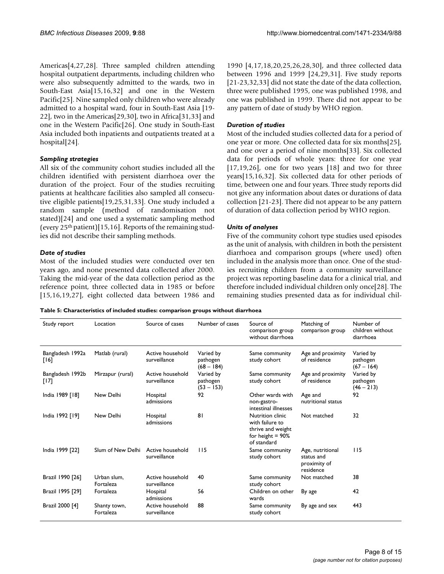Americas[[4](#page-14-2),[27,](#page-14-18)[28\]](#page-14-19). Three sampled children attending hospital outpatient departments, including children who were also subsequently admitted to the wards, two in South-East Asia[[15](#page-14-12),[16](#page-14-14)[,32](#page-14-21)] and one in the Western Pacific[[25\]](#page-14-26). Nine sampled only children who were already admitted to a hospital ward, four in South-East Asia [\[19](#page-14-23)- [22\]](#page-14-30), two in the Americas[[29,](#page-14-25)[30\]](#page-14-20), two in Africa[\[31](#page-14-28)[,33](#page-14-13)] and one in the Western Pacific[\[26](#page-14-27)]. One study in South-East Asia included both inpatients and outpatients treated at a hospital[[24\]](#page-14-24).

#### *Sampling strategies*

All six of the community cohort studies included all the children identified with persistent diarrhoea over the duration of the project. Four of the studies recruiting patients at healthcare facilities also sampled all consecutive eligible patients[\[19](#page-14-23)[,25](#page-14-26),[31,](#page-14-28)[33\]](#page-14-13). One study included a random sample (method of randomisation not stated)[\[24](#page-14-24)] and one used a systematic sampling method (every  $25<sup>th</sup>$  patient)[\[15](#page-14-12)[,16](#page-14-14)]. Reports of the remaining studies did not describe their sampling methods.

#### *Date of studies*

Most of the included studies were conducted over ten years ago, and none presented data collected after 2000. Taking the mid-year of the data collection period as the reference point, three collected data in 1985 or before [[15](#page-14-12),[16](#page-14-14)[,19](#page-14-23),[27](#page-14-18)], eight collected data between 1986 and 1990 [[4](#page-14-2),[17,](#page-14-15)[18,](#page-14-22)[20](#page-14-16),[25,](#page-14-26)[26](#page-14-27),[28](#page-14-19),[30\]](#page-14-20), and three collected data between 1996 and 1999 [\[24](#page-14-24),[29,](#page-14-25)[31\]](#page-14-28). Five study reports [[21](#page-14-29)[-23](#page-14-17),[32,](#page-14-21)[33\]](#page-14-13) did not state the date of the data collection, three were published 1995, one was published 1998, and one was published in 1999. There did not appear to be any pattern of date of study by WHO region.

#### *Duration of studies*

Most of the included studies collected data for a period of one year or more. One collected data for six months[\[25](#page-14-26)], and one over a period of nine months[\[33](#page-14-13)]. Six collected data for periods of whole years: three for one year  $[17,19,26]$  $[17,19,26]$  $[17,19,26]$  $[17,19,26]$  $[17,19,26]$  $[17,19,26]$ , one for two years  $[18]$  and two for three years[[15](#page-14-12),[16](#page-14-14)[,32](#page-14-21)]. Six collected data for other periods of time, between one and four years. Three study reports did not give any information about dates or durations of data collection [\[21](#page-14-29)[-23](#page-14-17)]. There did not appear to be any pattern of duration of data collection period by WHO region.

#### *Units of analyses*

Five of the community cohort type studies used episodes as the unit of analysis, with children in both the persistent diarrhoea and comparison groups (where used) often included in the analysis more than once. One of the studies recruiting children from a community surveillance project was reporting baseline data for a clinical trial, and therefore included individual children only once[[28](#page-14-19)]. The remaining studies presented data as for individual chil-

<span id="page-7-0"></span>

| Table 5: Characteristics of included studies: comparison groups without diarrhoea |  |
|-----------------------------------------------------------------------------------|--|
|-----------------------------------------------------------------------------------|--|

| Study report               | Source of cases<br>Location |                                  | Number of cases                       | Source of<br>comparison group<br>without diarrhoea                                             | Matching of<br>comparison group                             | Number of<br>children without<br>diarrhoea |  |
|----------------------------|-----------------------------|----------------------------------|---------------------------------------|------------------------------------------------------------------------------------------------|-------------------------------------------------------------|--------------------------------------------|--|
| Bangladesh 1992a<br>$[16]$ | Matlab (rural)              | Active household<br>surveillance | Varied by<br>pathogen<br>$(68 - 184)$ | Same community<br>study cohort                                                                 | Age and proximity<br>of residence                           | Varied by<br>pathogen<br>$(67 - 164)$      |  |
| Bangladesh 1992b<br>$[17]$ | Mirzapur (rural)            | Active household<br>surveillance | Varied by<br>pathogen<br>$(53 - 153)$ | Same community<br>study cohort                                                                 | Age and proximity<br>of residence                           | Varied by<br>pathogen<br>$(46 - 213)$      |  |
| India 1989 [18]            | New Delhi                   | Hospital<br>admissions           | 92                                    | Other wards with<br>non-gastro-<br>intestinal illnesses                                        | Age and<br>nutritional status                               | 92                                         |  |
| India 1992 [19]            | New Delhi                   | Hospital<br>admissions           | 81                                    | Nutrition clinic<br>with failure to<br>thrive and weight<br>for height $= 90\%$<br>of standard | Not matched                                                 | 32                                         |  |
| India 1999 [22]            | Slum of New Delhi           | Active household<br>surveillance | 115                                   | Same community<br>study cohort                                                                 | Age, nutritional<br>status and<br>proximity of<br>residence | 115                                        |  |
| Brazil 1990 [26]           | Urban slum.<br>Fortaleza    | Active household<br>surveillance | 40                                    | Same community<br>study cohort                                                                 | Not matched                                                 | 38                                         |  |
| Brazil 1995 [29]           | Fortaleza                   | Hospital<br>admissions           | 56                                    | Children on other<br>wards                                                                     | By age                                                      | 42                                         |  |
| Brazil 2000 [4]            | Shanty town,<br>Fortaleza   | Active household<br>surveillance | 88                                    | Same community<br>study cohort                                                                 | By age and sex                                              | 443                                        |  |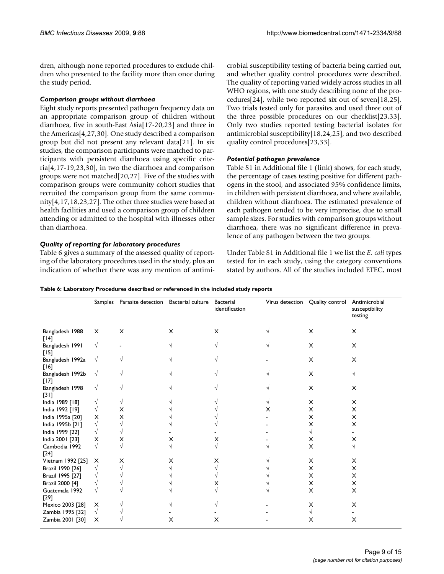dren, although none reported procedures to exclude children who presented to the facility more than once during the study period.

#### *Comparison groups without diarrhoea*

Eight study reports presented pathogen frequency data on an appropriate comparison group of children without diarrhoea, five in south-East Asia[\[17](#page-14-15)[-20](#page-14-16)[,23](#page-14-17)] and three in the Americas[\[4,](#page-14-2)[27](#page-14-18)[,30](#page-14-20)]. One study described a comparison group but did not present any relevant data[\[21](#page-14-29)]. In six studies, the comparison participants were matched to participants with persistent diarrhoea using specific criteria[[4](#page-14-2)[,17](#page-14-15)[-19](#page-14-23),[23,](#page-14-17)[30\]](#page-14-20), in two the diarrhoea and comparison groups were not matched[[20](#page-14-16),[27\]](#page-14-18). Five of the studies with comparison groups were community cohort studies that recruited the comparison group from the same community[[4](#page-14-2),[17,](#page-14-15)[18](#page-14-22),[23](#page-14-17),[27\]](#page-14-18). The other three studies were based at health facilities and used a comparison group of children attending or admitted to the hospital with illnesses other than diarrhoea.

#### *Quality of reporting for laboratory procedures*

Table [6](#page-8-0) gives a summary of the assessed quality of reporting of the laboratory procedures used in the study, plus an indication of whether there was any mention of antimicrobial susceptibility testing of bacteria being carried out, and whether quality control procedures were described. The quality of reporting varied widely across studies in all WHO regions, with one study describing none of the procedures[\[24\]](#page-14-24), while two reported six out of seven[[18,](#page-14-22)[25](#page-14-26)]. Two trials tested only for parasites and used three out of the three possible procedures on our checklist[[23,](#page-14-17)[33](#page-14-13)]. Only two studies reported testing bacterial isolates for antimicrobial susceptibility[\[18](#page-14-22),[24,](#page-14-24)[25\]](#page-14-26), and two described quality control procedures[[23](#page-14-17),[33\]](#page-14-13).

#### *Potential pathogen prevalence*

Table S1 in Additional file [1](#page-13-1) (link) shows, for each study, the percentage of cases testing positive for different pathogens in the stool, and associated 95% confidence limits, in children with persistent diarrhoea, and where available, children without diarrhoea. The estimated prevalence of each pathogen tended to be very imprecise, due to small sample sizes. For studies with comparison groups without diarrhoea, there was no significant difference in prevalence of any pathogen between the two groups.

Under Table S1 in Additional file [1](#page-13-1) we list the *E. coli* types tested for in each study, using the category conventions stated by authors. All of the studies included ETEC, most

<span id="page-8-0"></span>

| Table 6: Laboratory Procedures described or referenced in the included study reports |  |
|--------------------------------------------------------------------------------------|--|
|--------------------------------------------------------------------------------------|--|

|                           |            | Samples Parasite detection Bacterial culture |          | Bacterial<br>identification | Virus detection | Quality control | Antimicrobial<br>susceptibility<br>testing |
|---------------------------|------------|----------------------------------------------|----------|-----------------------------|-----------------|-----------------|--------------------------------------------|
| Bangladesh 1988<br>[14]   | $\times$   | X                                            | $\times$ | $\times$                    |                 | $\times$        | $\times$                                   |
| Bangladesh 1991<br>[15]   | $\sqrt{}$  |                                              |          |                             |                 | X               | X                                          |
| Bangladesh 1992a<br>[16]  | $\sqrt{ }$ |                                              |          |                             |                 | $\times$        | $\times$                                   |
| Bangladesh 1992b<br>[17]  | $\sqrt{ }$ |                                              |          |                             |                 | X               | V                                          |
| Bangladesh 1998<br>$[31]$ | $\sqrt{ }$ |                                              |          |                             |                 | $\times$        | $\times$                                   |
| India 1989 [18]           | V          |                                              |          |                             |                 | X               | X                                          |
| India 1992 [19]           | V          | X                                            |          |                             | X               | X               | X                                          |
| India 1995a [20]          | X          | X                                            |          |                             |                 | X               | X                                          |
| India 1995b [21]          | $\sqrt{ }$ | V                                            |          |                             |                 | X               | X                                          |
| India 1999 [22]           | $\sqrt{ }$ |                                              |          |                             |                 |                 |                                            |
| India 2001 [23]           | X          | X                                            | x        | х                           |                 | X               | X                                          |
| Cambodia 1992<br>$[24]$   | $\sqrt{ }$ | $\sqrt{}$                                    |          | V                           |                 | X               | $\sqrt{}$                                  |
| Vietnam 1992 [25]         | Х          | X                                            | х        | x                           |                 | X               | X                                          |
| Brazil 1990 [26]          | V          |                                              |          |                             |                 | X               | X                                          |
| Brazil 1995 [27]          | V          |                                              |          |                             |                 | X               | X                                          |
| Brazil 2000 [4]           | V          |                                              |          | х                           |                 | X               | X                                          |
| Guatemala 1992<br>$[29]$  | $\sqrt{}$  |                                              |          |                             |                 | $\times$        | X                                          |
| Mexico 2003 [28]          | X          |                                              |          |                             |                 | X               | $\times$                                   |
| Zambia 1995 [32]          | $\sqrt{}$  |                                              |          |                             |                 |                 |                                            |
| Zambia 2001 [30]          | X          |                                              | X        | X                           |                 | X               | X                                          |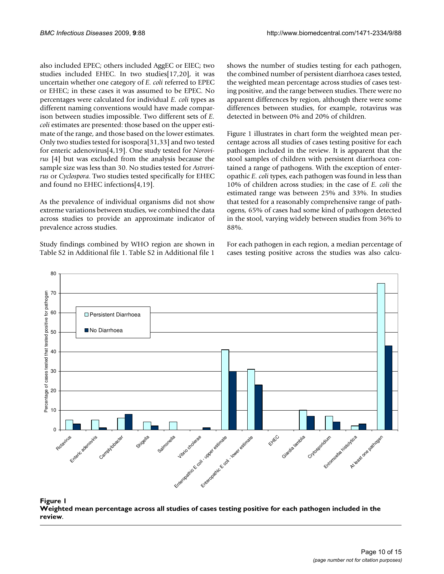also included EPEC; others included AggEC or EIEC; two studies included EHEC. In two studies[[17](#page-14-15),[20\]](#page-14-16), it was uncertain whether one category of *E. coli* referred to EPEC or EHEC; in these cases it was assumed to be EPEC. No percentages were calculated for individual *E. coli* types as different naming conventions would have made comparison between studies impossible. Two different sets of *E. coli* estimates are presented: those based on the upper estimate of the range, and those based on the lower estimates. Only two studies tested for isospora[\[31](#page-14-28),[33\]](#page-14-13) and two tested for enteric adenovirus[[4](#page-14-2),[19\]](#page-14-23). One study tested for *Norovirus* [[4\]](#page-14-2) but was excluded from the analysis because the sample size was less than 30. No studies tested for *Astrovirus* or *Cyclospora*. Two studies tested specifically for EHEC and found no EHEC infections[\[4](#page-14-2)[,19](#page-14-23)].

As the prevalence of individual organisms did not show extreme variations between studies, we combined the data across studies to provide an approximate indicator of prevalence across studies.

Study findings combined by WHO region are shown in Table S2 in Additional file [1](#page-13-1). Table S2 in Additional file [1](#page-13-1)

shows the number of studies testing for each pathogen, the combined number of persistent diarrhoea cases tested, the weighted mean percentage across studies of cases testing positive, and the range between studies. There were no apparent differences by region, although there were some differences between studies, for example, rotavirus was detected in between 0% and 20% of children.

Figure [1](#page-9-0) illustrates in chart form the weighted mean percentage across all studies of cases testing positive for each pathogen included in the review. It is apparent that the stool samples of children with persistent diarrhoea contained a range of pathogens. With the exception of enteropathic *E. coli* types, each pathogen was found in less than 10% of children across studies; in the case of *E. coli* the estimated range was between 25% and 33%. In studies that tested for a reasonably comprehensive range of pathogens, 65% of cases had some kind of pathogen detected in the stool, varying widely between studies from 36% to 88%.

For each pathogen in each region, a median percentage of cases testing positive across the studies was also calcu-

<span id="page-9-0"></span>

#### Weighted mean percentage across all **Figure 1** studies of cases testing positive for each pathogen included in the review **Weighted mean percentage across all studies of cases testing positive for each pathogen included in the review**.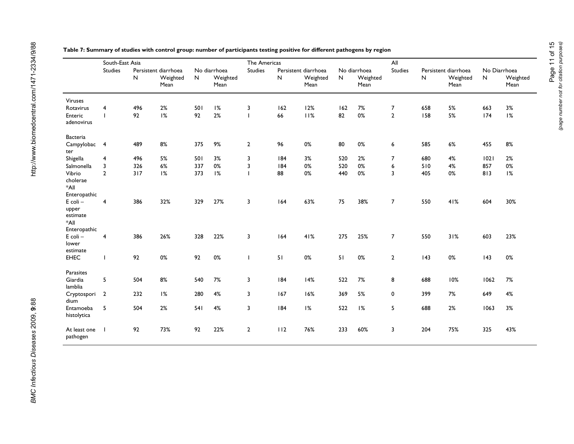<span id="page-10-0"></span>

|                                                      | South-East Asia         |              |                                  |              |                          | The Americas            |           |                                  |              |                          | All                     |           |                                  |                   |          |
|------------------------------------------------------|-------------------------|--------------|----------------------------------|--------------|--------------------------|-------------------------|-----------|----------------------------------|--------------|--------------------------|-------------------------|-----------|----------------------------------|-------------------|----------|
|                                                      | <b>Studies</b>          | $\mathsf{N}$ | Persistent diarrhoea<br>Weighted | $\mathsf{N}$ | No diarrhoea<br>Weighted | <b>Studies</b>          | ${\sf N}$ | Persistent diarrhoea<br>Weighted | $\mathsf{N}$ | No diarrhoea<br>Weighted | <b>Studies</b>          | ${\sf N}$ | Persistent diarrhoea<br>Weighted | No Diarrhoea<br>N | Weighted |
|                                                      |                         |              | Mean                             |              | Mean                     |                         |           | Mean                             |              | Mean                     |                         |           | Mean                             |                   | Mean     |
| Viruses                                              |                         |              |                                  |              |                          |                         |           |                                  |              |                          |                         |           |                                  |                   |          |
| Rotavirus                                            | 4                       | 496          | 2%                               | 501          | 1%                       | 3                       | 162       | 12%                              | 162          | 7%                       | $\overline{7}$          | 658       | 5%                               | 663               | 3%       |
| Enteric<br>adenovirus                                | $\overline{1}$          | 92           | 1%                               | 92           | 2%                       | $\mathbf{I}$            | 66        | 11%                              | 82           | 0%                       | $\overline{2}$          | 158       | 5%                               | 174               | 1%       |
| Bacteria                                             |                         |              |                                  |              |                          |                         |           |                                  |              |                          |                         |           |                                  |                   |          |
| Campylobac<br>ter                                    | $\overline{4}$          | 489          | 8%                               | 375          | 9%                       | $\overline{2}$          | 96        | 0%                               | 80           | $0\%$                    | 6                       | 585       | 6%                               | 455               | 8%       |
| Shigella                                             | $\overline{\mathbf{4}}$ | 496          | 5%                               | 501          | 3%                       | $\overline{\mathbf{3}}$ | 184       | 3%                               | 520          | 2%                       | $\overline{7}$          | 680       | 4%                               | 1021              | 2%       |
| Salmonella                                           | 3                       | 326          | 6%                               | 337          | $0\%$                    | 3                       | 184       | 0%                               | 520          | $0\%$                    | 6                       | 510       | 4%                               | 857               | 0%       |
| Vibrio<br>cholerae<br>*All<br>Enteropathic           | $\overline{2}$          | 317          | 1%                               | 373          | 1%                       | T                       | 88        | 0%                               | 440          | 0%                       | $\overline{\mathbf{3}}$ | 405       | 0%                               | 813               | 1%       |
| E coli-<br>upper<br>estimate<br>*All<br>Enteropathic | 4                       | 386          | 32%                              | 329          | 27%                      | 3                       | 164       | 63%                              | 75           | 38%                      | $\overline{7}$          | 550       | 41%                              | 604               | 30%      |
| E coli -<br>lower<br>estimate                        | $\overline{4}$          | 386          | 26%                              | 328          | 22%                      | 3                       | 164       | 41%                              | 275          | 25%                      | $\overline{7}$          | 550       | 31%                              | 603               | 23%      |
| <b>EHEC</b>                                          | ı                       | 92           | 0%                               | 92           | 0%                       |                         | 51        | 0%                               | 51           | 0%                       | $\overline{2}$          | 43        | 0%                               | 143               | 0%       |
| Parasites<br>Giardia                                 | 5                       | 504          | 8%                               | 540          | 7%                       | 3                       | 84        | 14%                              | 522          | 7%                       | 8                       | 688       | 10%                              | 1062              | 7%       |
| lamblia<br>Cryptospori<br>dium                       | $\overline{2}$          | 232          | 1%                               | 280          | 4%                       | 3                       | 167       | 16%                              | 369          | 5%                       | 0                       | 399       | 7%                               | 649               | 4%       |
| Entamoeba<br>histolytica                             | 5                       | 504          | 2%                               | 541          | 4%                       | 3                       | 184       | 1%                               | 522          | 1%                       | 5                       | 688       | 2%                               | 1063              | 3%       |
| At least one<br>pathogen                             |                         | 92           | 73%                              | 92           | 22%                      | $\overline{2}$          | 112       | 76%                              | 233          | 60%                      | 3                       | 204       | 75%                              | 325               | 43%      |

**Table 7: Summary of studies with control group: number of participants testing positive for different pathogens by region**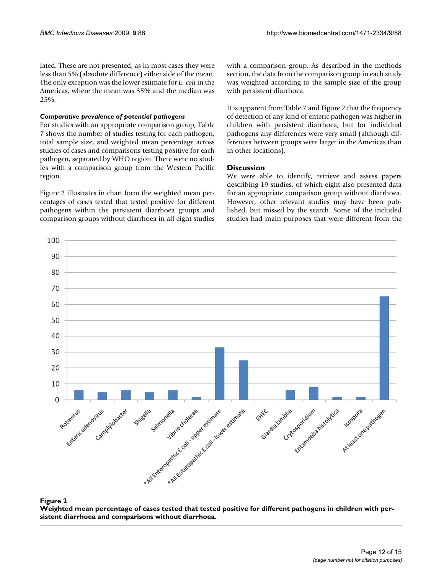lated. These are not presented, as in most cases they were less than 5% (absolute difference) either side of the mean. The only exception was the lower estimate for *E. coli* in the Americas, where the mean was 35% and the median was  $25\%$ 

#### *Comparative prevalence of potential pathogens*

For studies with an appropriate comparison group, Table [7](#page-10-0) shows the number of studies testing for each pathogen, total sample size, and weighted mean percentage across studies of cases and comparisons testing positive for each pathogen, separated by WHO region. There were no studies with a comparison group from the Western Pacific region.

Figure [2](#page-11-0) illustrates in chart form the weighted mean percentages of cases tested that tested positive for different pathogens within the persistent diarrhoea groups and comparison groups without diarrhoea in all eight studies with a comparison group. As described in the methods section, the data from the comparison group in each study was weighted according to the sample size of the group with persistent diarrhoea.

It is apparent from Table [7](#page-10-0) and Figure [2](#page-11-0) that the frequency of detection of any kind of enteric pathogen was higher in children with persistent diarrhoea, but for individual pathogens any differences were very small (although differences between groups were larger in the Americas than in other locations).

#### **Discussion**

We were able to identify, retrieve and assess papers describing 19 studies, of which eight also presented data for an appropriate comparison group without diarrhoea. However, other relevant studies may have been published, but missed by the search. Some of the included studies had main purposes that were different from the

<span id="page-11-0"></span>

Weighted mean percentage of cases tested and comparisons without diarrhoea **Figure 2** that tested positive for different pathogens in children with persistent diarrhoea **Weighted mean percentage of cases tested that tested positive for different pathogens in children with persistent diarrhoea and comparisons without diarrhoea**.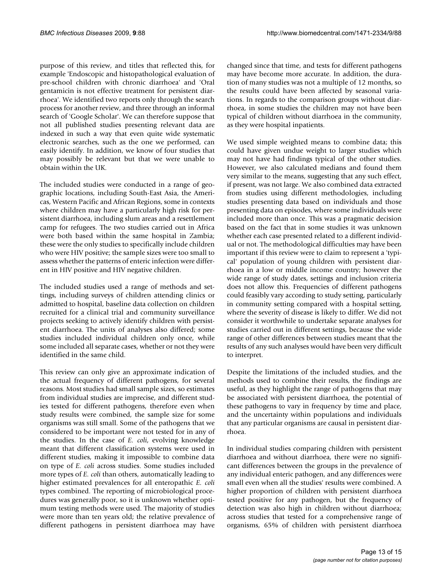purpose of this review, and titles that reflected this, for example 'Endoscopic and histopathological evaluation of pre-school children with chronic diarrhoea' and 'Oral gentamicin is not effective treatment for persistent diarrhoea'. We identified two reports only through the search process for another review, and three through an informal search of 'Google Scholar'. We can therefore suppose that not all published studies presenting relevant data are indexed in such a way that even quite wide systematic electronic searches, such as the one we performed, can easily identify. In addition, we know of four studies that may possibly be relevant but that we were unable to obtain within the UK.

The included studies were conducted in a range of geographic locations, including South-East Asia, the Americas, Western Pacific and African Regions, some in contexts where children may have a particularly high risk for persistent diarrhoea, including slum areas and a resettlement camp for refugees. The two studies carried out in Africa were both based within the same hospital in Zambia; these were the only studies to specifically include children who were HIV positive; the sample sizes were too small to assess whether the patterns of enteric infection were different in HIV positive and HIV negative children.

The included studies used a range of methods and settings, including surveys of children attending clinics or admitted to hospital, baseline data collection on children recruited for a clinical trial and community surveillance projects seeking to actively identify children with persistent diarrhoea. The units of analyses also differed; some studies included individual children only once, while some included all separate cases, whether or not they were identified in the same child.

This review can only give an approximate indication of the actual frequency of different pathogens, for several reasons. Most studies had small sample sizes, so estimates from individual studies are imprecise, and different studies tested for different pathogens, therefore even when study results were combined, the sample size for some organisms was still small. Some of the pathogens that we considered to be important were not tested for in any of the studies. In the case of *E. coli*, evolving knowledge meant that different classification systems were used in different studies, making it impossible to combine data on type of *E. coli* across studies. Some studies included more types of *E. coli* than others, automatically leading to higher estimated prevalences for all enteropathic *E. coli* types combined. The reporting of microbiological procedures was generally poor, so it is unknown whether optimum testing methods were used. The majority of studies were more than ten years old; the relative prevalence of different pathogens in persistent diarrhoea may have changed since that time, and tests for different pathogens may have become more accurate. In addition, the duration of many studies was not a multiple of 12 months, so the results could have been affected by seasonal variations. In regards to the comparison groups without diarrhoea, in some studies the children may not have been typical of children without diarrhoea in the community, as they were hospital inpatients.

We used simple weighted means to combine data; this could have given undue weight to larger studies which may not have had findings typical of the other studies. However, we also calculated medians and found them very similar to the means, suggesting that any such effect, if present, was not large. We also combined data extracted from studies using different methodologies, including studies presenting data based on individuals and those presenting data on episodes, where some individuals were included more than once. This was a pragmatic decision based on the fact that in some studies it was unknown whether each case presented related to a different individual or not. The methodological difficulties may have been important if this review were to claim to represent a 'typical' population of young children with persistent diarrhoea in a low or middle income country; however the wide range of study dates, settings and inclusion criteria does not allow this. Frequencies of different pathogens could feasibly vary according to study setting, particularly in community setting compared with a hospital setting, where the severity of disease is likely to differ. We did not consider it worthwhile to undertake separate analyses for studies carried out in different settings, because the wide range of other differences between studies meant that the results of any such analyses would have been very difficult to interpret.

Despite the limitations of the included studies, and the methods used to combine their results, the findings are useful, as they highlight the range of pathogens that may be associated with persistent diarrhoea, the potential of these pathogens to vary in frequency by time and place, and the uncertainty within populations and individuals that any particular organisms are causal in persistent diarrhoea.

In individual studies comparing children with persistent diarrhoea and without diarrhoea, there were no significant differences between the groups in the prevalence of any individual enteric pathogen, and any differences were small even when all the studies' results were combined. A higher proportion of children with persistent diarrhoea tested positive for any pathogen, but the frequency of detection was also high in children without diarrhoea; across studies that tested for a comprehensive range of organisms, 65% of children with persistent diarrhoea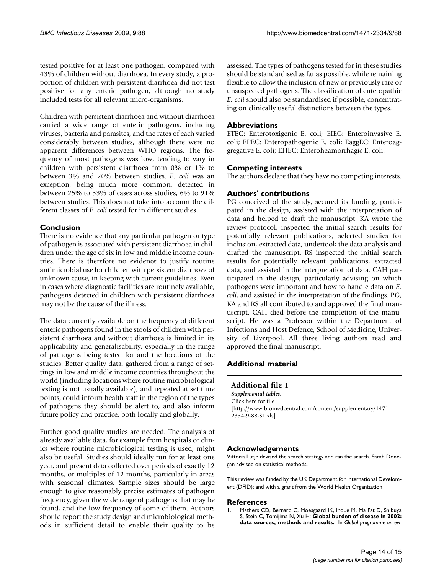tested positive for at least one pathogen, compared with 43% of children without diarrhoea. In every study, a proportion of children with persistent diarrhoea did not test positive for any enteric pathogen, although no study included tests for all relevant micro-organisms.

Children with persistent diarrhoea and without diarrhoea carried a wide range of enteric pathogens, including viruses, bacteria and parasites, and the rates of each varied considerably between studies, although there were no apparent differences between WHO regions. The frequency of most pathogens was low, tending to vary in children with persistent diarrhoea from 0% or 1% to between 3% and 20% between studies. *E. coli* was an exception, being much more common, detected in between 25% to 33% of cases across studies, 6% to 91% between studies. This does not take into account the different classes of *E. coli* tested for in different studies.

#### **Conclusion**

There is no evidence that any particular pathogen or type of pathogen is associated with persistent diarrhoea in children under the age of six in low and middle income countries. There is therefore no evidence to justify routine antimicrobial use for children with persistent diarrhoea of unknown cause, in keeping with current guidelines. Even in cases where diagnostic facilities are routinely available, pathogens detected in children with persistent diarrhoea may not be the cause of the illness.

The data currently available on the frequency of different enteric pathogens found in the stools of children with persistent diarrhoea and without diarrhoea is limited in its applicability and generalisability, especially in the range of pathogens being tested for and the locations of the studies. Better quality data, gathered from a range of settings in low and middle income countries throughout the world (including locations where routine microbiological testing is not usually available), and repeated at set time points, could inform health staff in the region of the types of pathogens they should be alert to, and also inform future policy and practice, both locally and globally.

Further good quality studies are needed. The analysis of already available data, for example from hospitals or clinics where routine microbiological testing is used, might also be useful. Studies should ideally run for at least one year, and present data collected over periods of exactly 12 months, or multiples of 12 months, particularly in areas with seasonal climates. Sample sizes should be large enough to give reasonably precise estimates of pathogen frequency, given the wide range of pathogens that may be found, and the low frequency of some of them. Authors should report the study design and microbiological methods in sufficient detail to enable their quality to be assessed. The types of pathogens tested for in these studies should be standardised as far as possible, while remaining flexible to allow the inclusion of new or previously rare or unsuspected pathogens. The classification of enteropathic *E. coli* should also be standardised if possible, concentrating on clinically useful distinctions between the types.

#### **Abbreviations**

ETEC: Enterotoxigenic E. coli; EIEC: Enteroinvasive E. coli; EPEC: Enteropathogenic E. coli; EaggEC: Enteroaggregative E. coli; EHEC: Enteroheamorrhagic E. coli.

#### **Competing interests**

The authors declare that they have no competing interests.

#### **Authors' contributions**

PG conceived of the study, secured its funding, participated in the design, assisted with the interpretation of data and helped to draft the manuscript. KA wrote the review protocol, inspected the initial search results for potentially relevant publications, selected studies for inclusion, extracted data, undertook the data analysis and drafted the manuscript. RS inspected the initial search results for potentially relevant publications, extracted data, and assisted in the interpretation of data. CAH participated in the design, particularly advising on which pathogens were important and how to handle data on *E. coli*, and assisted in the interpretation of the findings. PG, KA and RS all contributed to and approved the final manuscript. CAH died before the completion of the manuscript. He was a Professor within the Department of Infections and Host Defence, School of Medicine, University of Liverpool. All three living authors read and approved the final manuscript.

### **Additional material**

#### <span id="page-13-1"></span>**Additional file 1**

*Supplemental tables.* Click here for file [\[http://www.biomedcentral.com/content/supplementary/1471-](http://www.biomedcentral.com/content/supplementary/1471-2334-9-88-S1.xls) 2334-9-88-S1.xls]

#### **Acknowledgements**

Vittoria Lutje devised the search strategy and ran the search. Sarah Donegan advised on statistical methods.

This review was funded by the UK Department for International Develoment (DFID); and with a grant from the World Health Organization

#### **References**

<span id="page-13-0"></span>1. Mathers CD, Bernard C, Moesgaard IK, Inoue M, Ma Fat D, Shibuya S, Stein C, Tomijima N, Xu H: **Global burden of disease in 2002: data sources, methods and results.** In *Global programme on evi-*